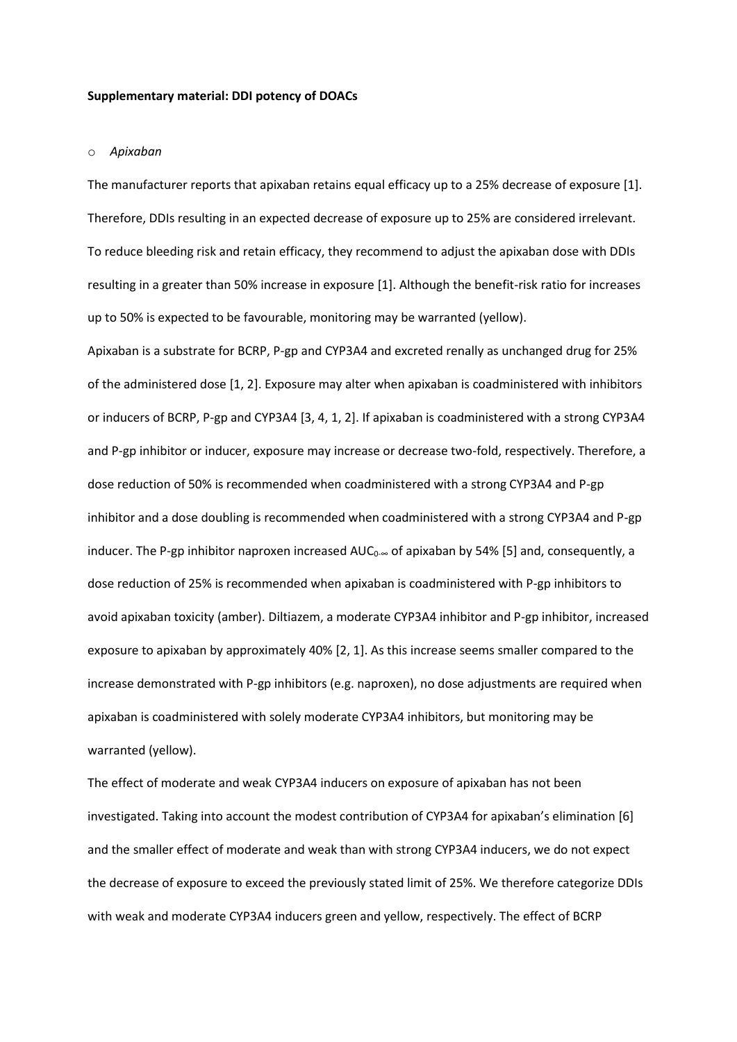# **Supplementary material: DDI potency of DOACs**

#### o *Apixaban*

The manufacturer reports that apixaban retains equal efficacy up to a 25% decrease of exposure [1]. Therefore, DDIs resulting in an expected decrease of exposure up to 25% are considered irrelevant. To reduce bleeding risk and retain efficacy, they recommend to adjust the apixaban dose with DDIs resulting in a greater than 50% increase in exposure [1]. Although the benefit-risk ratio for increases up to 50% is expected to be favourable, monitoring may be warranted (yellow).

Apixaban is a substrate for BCRP, P-gp and CYP3A4 and excreted renally as unchanged drug for 25% of the administered dose [1, 2]. Exposure may alter when apixaban is coadministered with inhibitors or inducers of BCRP, P-gp and CYP3A4 [3, 4, 1, 2]. If apixaban is coadministered with a strong CYP3A4 and P-gp inhibitor or inducer, exposure may increase or decrease two-fold, respectively. Therefore, a dose reduction of 50% is recommended when coadministered with a strong CYP3A4 and P-gp inhibitor and a dose doubling is recommended when coadministered with a strong CYP3A4 and P-gp inducer. The P-gp inhibitor naproxen increased  $AUC_{0.∞}$  of apixaban by 54% [5] and, consequently, a dose reduction of 25% is recommended when apixaban is coadministered with P-gp inhibitors to avoid apixaban toxicity (amber). Diltiazem, a moderate CYP3A4 inhibitor and P-gp inhibitor, increased exposure to apixaban by approximately 40% [2, 1]. As this increase seems smaller compared to the increase demonstrated with P-gp inhibitors (e.g. naproxen), no dose adjustments are required when apixaban is coadministered with solely moderate CYP3A4 inhibitors, but monitoring may be warranted (yellow).

The effect of moderate and weak CYP3A4 inducers on exposure of apixaban has not been investigated. Taking into account the modest contribution of CYP3A4 for apixaban's elimination [6] and the smaller effect of moderate and weak than with strong CYP3A4 inducers, we do not expect the decrease of exposure to exceed the previously stated limit of 25%. We therefore categorize DDIs with weak and moderate CYP3A4 inducers green and yellow, respectively. The effect of BCRP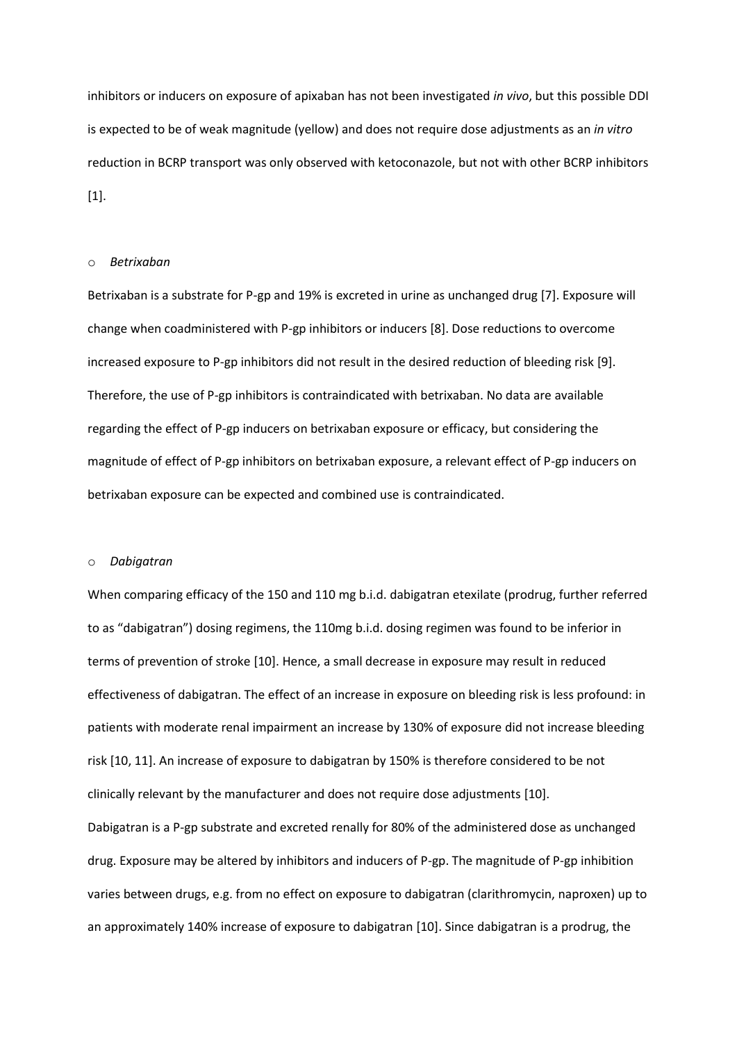inhibitors or inducers on exposure of apixaban has not been investigated *in vivo*, but this possible DDI is expected to be of weak magnitude (yellow) and does not require dose adjustments as an *in vitro* reduction in BCRP transport was only observed with ketoconazole, but not with other BCRP inhibitors [1].

## o *Betrixaban*

Betrixaban is a substrate for P-gp and 19% is excreted in urine as unchanged drug [7]. Exposure will change when coadministered with P-gp inhibitors or inducers [8]. Dose reductions to overcome increased exposure to P-gp inhibitors did not result in the desired reduction of bleeding risk [9]. Therefore, the use of P-gp inhibitors is contraindicated with betrixaban. No data are available regarding the effect of P-gp inducers on betrixaban exposure or efficacy, but considering the magnitude of effect of P-gp inhibitors on betrixaban exposure, a relevant effect of P-gp inducers on betrixaban exposure can be expected and combined use is contraindicated.

## o *Dabigatran*

When comparing efficacy of the 150 and 110 mg b.i.d. dabigatran etexilate (prodrug, further referred to as "dabigatran") dosing regimens, the 110mg b.i.d. dosing regimen was found to be inferior in terms of prevention of stroke [10]. Hence, a small decrease in exposure may result in reduced effectiveness of dabigatran. The effect of an increase in exposure on bleeding risk is less profound: in patients with moderate renal impairment an increase by 130% of exposure did not increase bleeding risk [10, 11]. An increase of exposure to dabigatran by 150% is therefore considered to be not clinically relevant by the manufacturer and does not require dose adjustments [10]. Dabigatran is a P-gp substrate and excreted renally for 80% of the administered dose as unchanged drug. Exposure may be altered by inhibitors and inducers of P-gp. The magnitude of P-gp inhibition varies between drugs, e.g. from no effect on exposure to dabigatran (clarithromycin, naproxen) up to an approximately 140% increase of exposure to dabigatran [10]. Since dabigatran is a prodrug, the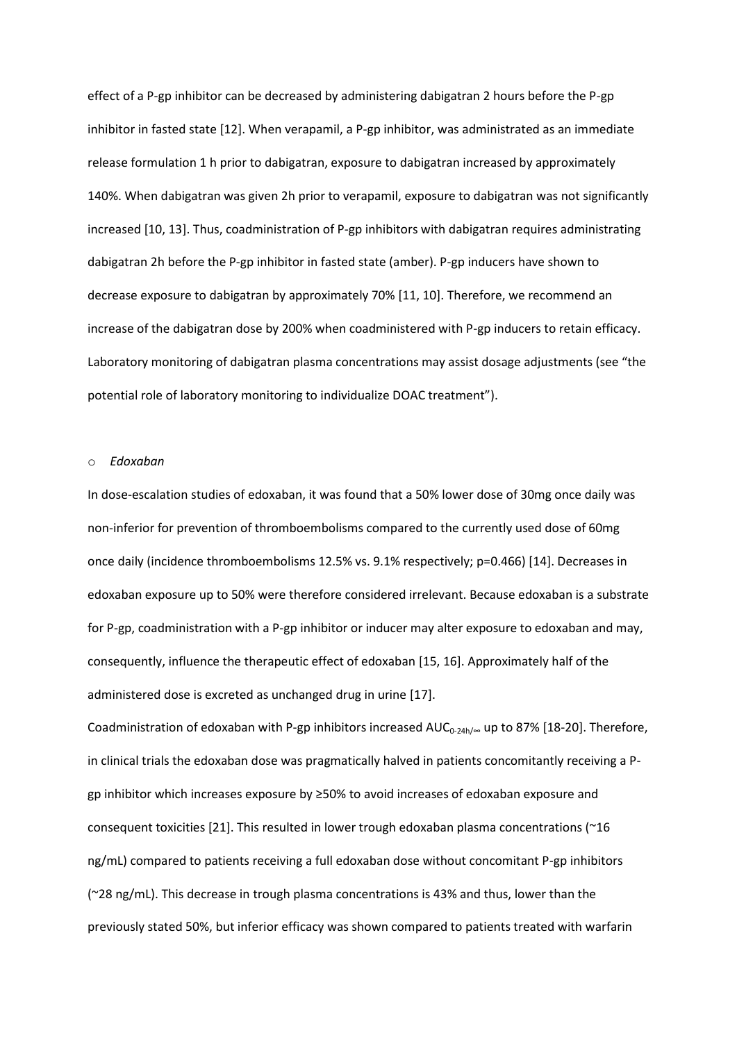effect of a P-gp inhibitor can be decreased by administering dabigatran 2 hours before the P-gp inhibitor in fasted state [12]. When verapamil, a P-gp inhibitor, was administrated as an immediate release formulation 1 h prior to dabigatran, exposure to dabigatran increased by approximately 140%. When dabigatran was given 2h prior to verapamil, exposure to dabigatran was not significantly increased [10, 13]. Thus, coadministration of P-gp inhibitors with dabigatran requires administrating dabigatran 2h before the P-gp inhibitor in fasted state (amber). P-gp inducers have shown to decrease exposure to dabigatran by approximately 70% [11, 10]. Therefore, we recommend an increase of the dabigatran dose by 200% when coadministered with P-gp inducers to retain efficacy. Laboratory monitoring of dabigatran plasma concentrations may assist dosage adjustments (see "the potential role of laboratory monitoring to individualize DOAC treatment").

#### o *Edoxaban*

In dose-escalation studies of edoxaban, it was found that a 50% lower dose of 30mg once daily was non-inferior for prevention of thromboembolisms compared to the currently used dose of 60mg once daily (incidence thromboembolisms 12.5% vs. 9.1% respectively; p=0.466) [14]. Decreases in edoxaban exposure up to 50% were therefore considered irrelevant. Because edoxaban is a substrate for P-gp, coadministration with a P-gp inhibitor or inducer may alter exposure to edoxaban and may, consequently, influence the therapeutic effect of edoxaban [15, 16]. Approximately half of the administered dose is excreted as unchanged drug in urine [17].

Coadministration of edoxaban with P-gp inhibitors increased AUC<sub>0-24h/∞</sub> up to 87% [18-20]. Therefore, in clinical trials the edoxaban dose was pragmatically halved in patients concomitantly receiving a Pgp inhibitor which increases exposure by ≥50% to avoid increases of edoxaban exposure and consequent toxicities [21]. This resulted in lower trough edoxaban plasma concentrations (~16 ng/mL) compared to patients receiving a full edoxaban dose without concomitant P-gp inhibitors (~28 ng/mL). This decrease in trough plasma concentrations is 43% and thus, lower than the previously stated 50%, but inferior efficacy was shown compared to patients treated with warfarin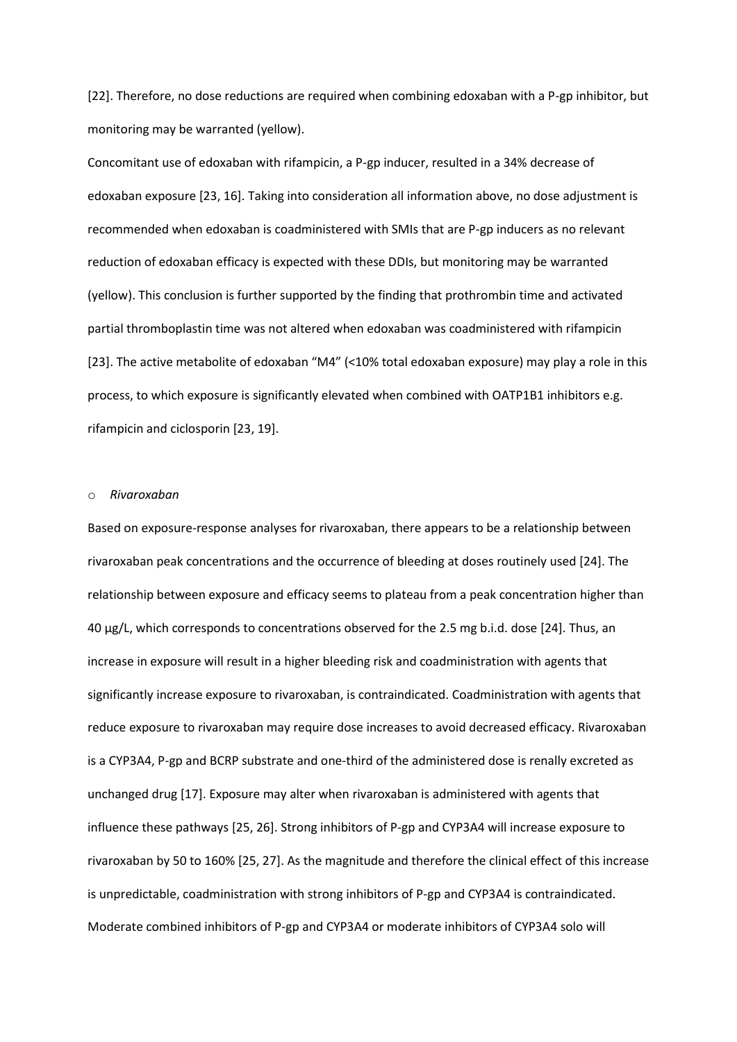[22]. Therefore, no dose reductions are required when combining edoxaban with a P-gp inhibitor, but monitoring may be warranted (yellow).

Concomitant use of edoxaban with rifampicin, a P-gp inducer, resulted in a 34% decrease of edoxaban exposure [23, 16]. Taking into consideration all information above, no dose adjustment is recommended when edoxaban is coadministered with SMIs that are P-gp inducers as no relevant reduction of edoxaban efficacy is expected with these DDIs, but monitoring may be warranted (yellow). This conclusion is further supported by the finding that prothrombin time and activated partial thromboplastin time was not altered when edoxaban was coadministered with rifampicin [23]. The active metabolite of edoxaban "M4" (<10% total edoxaban exposure) may play a role in this process, to which exposure is significantly elevated when combined with OATP1B1 inhibitors e.g. rifampicin and ciclosporin [23, 19].

# o *Rivaroxaban*

Based on exposure-response analyses for rivaroxaban, there appears to be a relationship between rivaroxaban peak concentrations and the occurrence of bleeding at doses routinely used [24]. The relationship between exposure and efficacy seems to plateau from a peak concentration higher than 40 μg/L, which corresponds to concentrations observed for the 2.5 mg b.i.d. dose [24]. Thus, an increase in exposure will result in a higher bleeding risk and coadministration with agents that significantly increase exposure to rivaroxaban, is contraindicated. Coadministration with agents that reduce exposure to rivaroxaban may require dose increases to avoid decreased efficacy. Rivaroxaban is a CYP3A4, P-gp and BCRP substrate and one-third of the administered dose is renally excreted as unchanged drug [17]. Exposure may alter when rivaroxaban is administered with agents that influence these pathways [25, 26]. Strong inhibitors of P-gp and CYP3A4 will increase exposure to rivaroxaban by 50 to 160% [25, 27]. As the magnitude and therefore the clinical effect of this increase is unpredictable, coadministration with strong inhibitors of P-gp and CYP3A4 is contraindicated. Moderate combined inhibitors of P-gp and CYP3A4 or moderate inhibitors of CYP3A4 solo will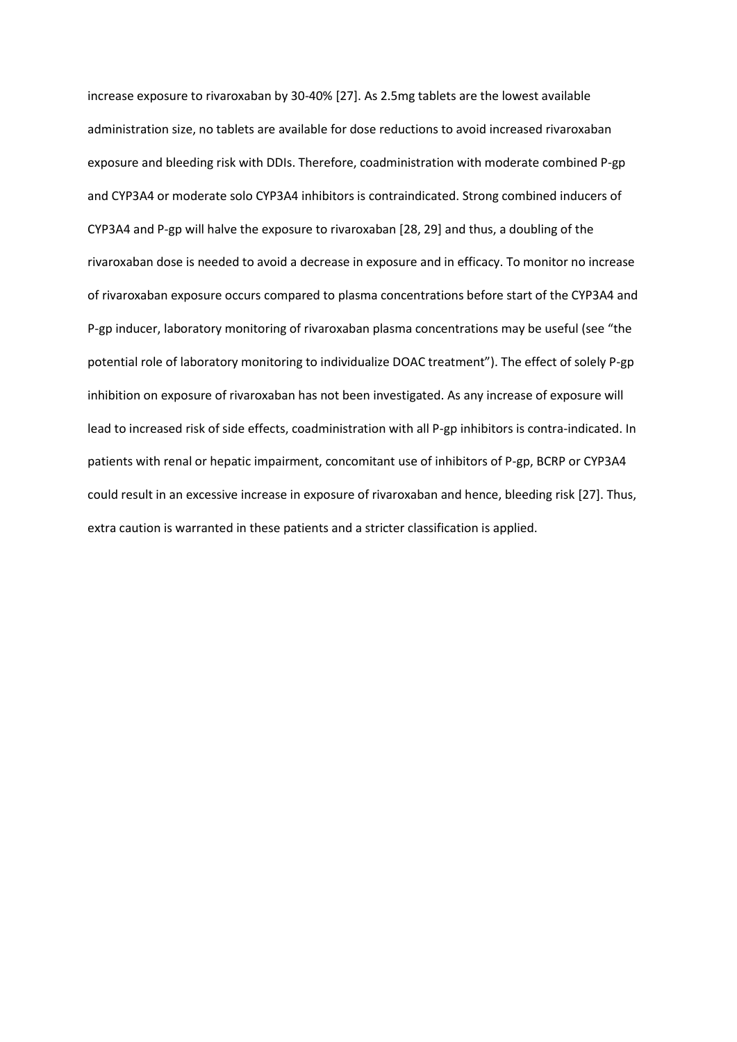increase exposure to rivaroxaban by 30-40% [27]. As 2.5mg tablets are the lowest available administration size, no tablets are available for dose reductions to avoid increased rivaroxaban exposure and bleeding risk with DDIs. Therefore, coadministration with moderate combined P-gp and CYP3A4 or moderate solo CYP3A4 inhibitors is contraindicated. Strong combined inducers of CYP3A4 and P-gp will halve the exposure to rivaroxaban [28, 29] and thus, a doubling of the rivaroxaban dose is needed to avoid a decrease in exposure and in efficacy. To monitor no increase of rivaroxaban exposure occurs compared to plasma concentrations before start of the CYP3A4 and P-gp inducer, laboratory monitoring of rivaroxaban plasma concentrations may be useful (see "the potential role of laboratory monitoring to individualize DOAC treatment"). The effect of solely P-gp inhibition on exposure of rivaroxaban has not been investigated. As any increase of exposure will lead to increased risk of side effects, coadministration with all P-gp inhibitors is contra-indicated. In patients with renal or hepatic impairment, concomitant use of inhibitors of P-gp, BCRP or CYP3A4 could result in an excessive increase in exposure of rivaroxaban and hence, bleeding risk [27]. Thus, extra caution is warranted in these patients and a stricter classification is applied.